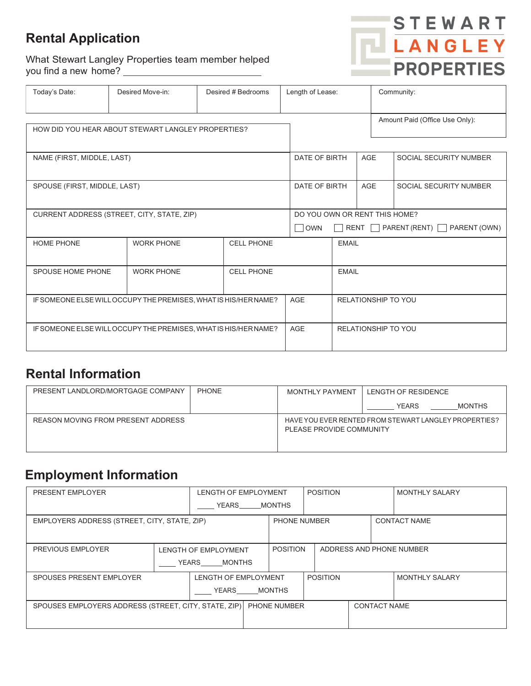# **Rental Application**

What Stewart Langley Properties team member helped you find a new home?



| Today's Date:                                                   | Desired Move-in:  | Desired # Bedrooms |            | Length of Lease:                                                                               |                     | Community:                     |  |  |
|-----------------------------------------------------------------|-------------------|--------------------|------------|------------------------------------------------------------------------------------------------|---------------------|--------------------------------|--|--|
| HOW DID YOU HEAR ABOUT STEWART LANGLEY PROPERTIES?              |                   |                    |            |                                                                                                |                     | Amount Paid (Office Use Only): |  |  |
| NAME (FIRST, MIDDLE, LAST)                                      |                   |                    |            | DATE OF BIRTH<br><b>AGE</b>                                                                    |                     | SOCIAL SECURITY NUMBER         |  |  |
| SPOUSE (FIRST, MIDDLE, LAST)                                    |                   |                    |            | DATE OF BIRTH<br><b>AGE</b>                                                                    |                     | SOCIAL SECURITY NUMBER         |  |  |
| CURRENT ADDRESS (STREET, CITY, STATE, ZIP)                      |                   |                    | $\Box$ OWN | DO YOU OWN OR RENT THIS HOME?<br>RENT $\Box$ PARENT (RENT) $\Box$ PARENT (OWN)<br>$\mathbf{I}$ |                     |                                |  |  |
| <b>HOME PHONE</b>                                               | <b>WORK PHONE</b> | <b>CELL PHONE</b>  |            | <b>EMAIL</b>                                                                                   |                     |                                |  |  |
| SPOUSE HOME PHONE                                               | <b>WORK PHONE</b> | <b>CELL PHONE</b>  |            | <b>EMAIL</b>                                                                                   |                     |                                |  |  |
| IF SOMEONE ELSE WILL OCCUPY THE PREMISES, WHAT IS HIS/HER NAME? |                   |                    | <b>AGE</b> |                                                                                                | RELATIONSHIP TO YOU |                                |  |  |
| IF SOMEONE ELSE WILL OCCUPY THE PREMISES, WHAT IS HIS/HER NAME? |                   |                    | <b>AGE</b> | <b>RELATIONSHIP TO YOU</b>                                                                     |                     |                                |  |  |

### **Rental Information**

| PRESENT LANDLORD/MORTGAGE COMPANY  | <b>PHONE</b> | <b>MONTHLY PAYMENT</b>                                                            | LENGTH OF RESIDENCE           |  |  |
|------------------------------------|--------------|-----------------------------------------------------------------------------------|-------------------------------|--|--|
|                                    |              |                                                                                   | <b>YEARS</b><br><b>MONTHS</b> |  |  |
| REASON MOVING FROM PRESENT ADDRESS |              | HAVE YOU EVER RENTED FROM STEWART LANGLEY PROPERTIES?<br>PLEASE PROVIDE COMMUNITY |                               |  |  |

# **Employment Information**

| PRESENT EMPLOYER                                     |                        | <b>LENGTH OF EMPLOYMENT</b> |                     | <b>POSITION</b>                             |  |                     | <b>MONTHLY SALARY</b> |                       |
|------------------------------------------------------|------------------------|-----------------------------|---------------------|---------------------------------------------|--|---------------------|-----------------------|-----------------------|
|                                                      | YEARS                  |                             | <b>MONTHS</b>       |                                             |  |                     |                       |                       |
| EMPLOYERS ADDRESS (STREET, CITY, STATE, ZIP)         |                        |                             | <b>PHONE NUMBER</b> |                                             |  | <b>CONTACT NAME</b> |                       |                       |
|                                                      |                        |                             |                     |                                             |  |                     |                       |                       |
| <b>PREVIOUS EMPLOYER</b>                             | LENGTH OF EMPLOYMENT   |                             |                     | <b>POSITION</b><br>ADDRESS AND PHONE NUMBER |  |                     |                       |                       |
|                                                      | YEARS<br><b>MONTHS</b> |                             |                     |                                             |  |                     |                       |                       |
| SPOUSES PRESENT EMPLOYER                             |                        | <b>LENGTH OF EMPLOYMENT</b> |                     | <b>POSITION</b>                             |  |                     |                       | <b>MONTHLY SALARY</b> |
|                                                      |                        | YEARS                       |                     | <b>MONTHS</b>                               |  |                     |                       |                       |
| SPOUSES EMPLOYERS ADDRESS (STREET, CITY, STATE, ZIP) |                        |                             | PHONE NUMBER        |                                             |  |                     | <b>CONTACT NAME</b>   |                       |
|                                                      |                        |                             |                     |                                             |  |                     |                       |                       |